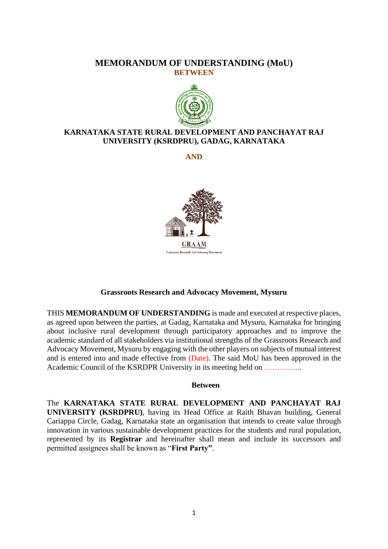## **MEMORANDUM OF UNDERSTANDING (MoU) BETWEEN**



## **KARNATAKA STATE RURAL DEVELOPMENT AND PANCHAYAT RAJ UNIVERSITY (KSRDPRU), GADAG, KARNATAKA**

**AND**



#### **Grassroots Research and Advocacy Movement, Mysuru**

THIS **MEMORANDUM OF UNDERSTANDING** is made and executed at respective places, as agreed upon between the parties, at Gadag, Karnataka and Mysuru, Karnataka for bringing about inclusive rural development through participatory approaches and to improve the academic standard of all stakeholders via institutional strengths of the Grassroots Research and Advocacy Movement, Mysuru by engaging with the other players on subjects of mutual interest and is entered into and made effective from (Date). The said MoU has been approved in the Academic Council of the KSRDPR University in its meeting held on …………...

#### **Between**

The **KARNATAKA STATE RURAL DEVELOPMENT AND PANCHAYAT RAJ UNIVERSITY (KSRDPRU)**, having its Head Office at Raith Bhavan building, General Cariappa Circle, Gadag, Karnataka state an organisation that intends to create value through innovation in various sustainable development practices for the students and rural population, represented by its **Registrar** and hereinafter shall mean and include its successors and permitted assignees shall be known as "**First Party"**.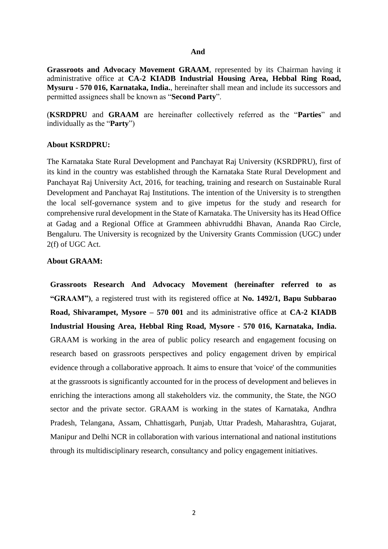#### **And**

**Grassroots and Advocacy Movement GRAAM**, represented by its Chairman having it administrative office at **CA-2 KIADB Industrial Housing Area, Hebbal Ring Road, Mysuru - 570 016, Karnataka, India.**, hereinafter shall mean and include its successors and permitted assignees shall be known as "**Second Party**".

(**KSRDPRU** and **GRAAM** are hereinafter collectively referred as the "**Parties**" and individually as the "**Party**")

#### **About KSRDPRU:**

The Karnataka State Rural Development and Panchayat Raj University (KSRDPRU), first of its kind in the country was established through the Karnataka State Rural Development and Panchayat Raj University Act, 2016, for teaching, training and research on Sustainable Rural Development and Panchayat Raj Institutions. The intention of the University is to strengthen the local self-governance system and to give impetus for the study and research for comprehensive rural development in the State of Karnataka. The University has its Head Office at Gadag and a Regional Office at Grammeen abhivruddhi Bhavan, Ananda Rao Circle, Bengaluru. The University is recognized by the University Grants Commission (UGC) under 2(f) of UGC Act.

#### **About GRAAM:**

**Grassroots Research And Advocacy Movement (hereinafter referred to as "GRAAM")**, a registered trust with its registered office at **No. 1492/1, Bapu Subbarao Road, Shivarampet, Mysore – 570 001** and its administrative office at **CA-2 KIADB Industrial Housing Area, Hebbal Ring Road, Mysore - 570 016, Karnataka, India.**  GRAAM is working in the area of public policy research and engagement focusing on research based on grassroots perspectives and policy engagement driven by empirical evidence through a collaborative approach. It aims to ensure that 'voice' of the communities at the grassroots is significantly accounted for in the process of development and believes in enriching the interactions among all stakeholders viz. the community, the State, the NGO sector and the private sector. GRAAM is working in the states of Karnataka, Andhra Pradesh, Telangana, Assam, Chhattisgarh, Punjab, Uttar Pradesh, Maharashtra, Gujarat, Manipur and Delhi NCR in collaboration with various international and national institutions through its multidisciplinary research, consultancy and policy engagement initiatives.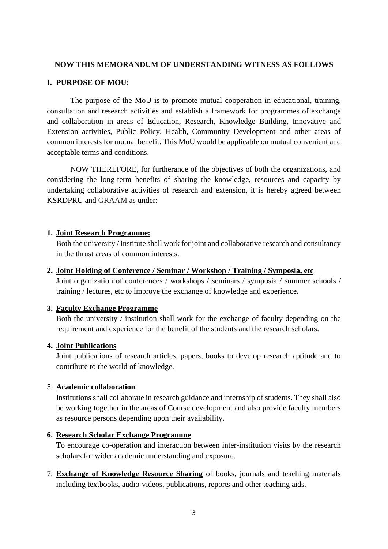#### **NOW THIS MEMORANDUM OF UNDERSTANDING WITNESS AS FOLLOWS**

#### **I. PURPOSE OF MOU:**

The purpose of the MoU is to promote mutual cooperation in educational, training, consultation and research activities and establish a framework for programmes of exchange and collaboration in areas of Education, Research, Knowledge Building, Innovative and Extension activities, Public Policy, Health, Community Development and other areas of common interests for mutual benefit. This MoU would be applicable on mutual convenient and acceptable terms and conditions.

NOW THEREFORE, for furtherance of the objectives of both the organizations, and considering the long-term benefits of sharing the knowledge, resources and capacity by undertaking collaborative activities of research and extension, it is hereby agreed between KSRDPRU and GRAAM as under:

#### **1. Joint Research Programme:**

Both the university / institute shall work for joint and collaborative research and consultancy in the thrust areas of common interests.

#### **2. Joint Holding of Conference / Seminar / Workshop / Training / Symposia, etc**

Joint organization of conferences / workshops / seminars / symposia / summer schools / training / lectures, etc to improve the exchange of knowledge and experience.

#### **3. Faculty Exchange Programme**

Both the university / institution shall work for the exchange of faculty depending on the requirement and experience for the benefit of the students and the research scholars.

### **4. Joint Publications**

Joint publications of research articles, papers, books to develop research aptitude and to contribute to the world of knowledge.

### 5. **Academic collaboration**

Institutions shall collaborate in research guidance and internship of students. They shall also be working together in the areas of Course development and also provide faculty members as resource persons depending upon their availability.

#### **6. Research Scholar Exchange Programme**

To encourage co-operation and interaction between inter-institution visits by the research scholars for wider academic understanding and exposure.

7. **Exchange of Knowledge Resource Sharing** of books, journals and teaching materials including textbooks, audio-videos, publications, reports and other teaching aids.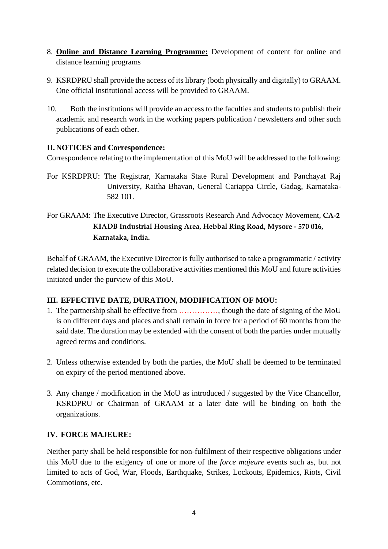- 8. **Online and Distance Learning Programme:** Development of content for online and distance learning programs
- 9. KSRDPRU shall provide the access of its library (both physically and digitally) to GRAAM. One official institutional access will be provided to GRAAM.
- 10. Both the institutions will provide an access to the faculties and students to publish their academic and research work in the working papers publication / newsletters and other such publications of each other.

## **II. NOTICES and Correspondence:**

Correspondence relating to the implementation of this MoU will be addressed to the following:

- For KSRDPRU: The Registrar, Karnataka State Rural Development and Panchayat Raj University, Raitha Bhavan, General Cariappa Circle, Gadag, Karnataka-582 101.
- For GRAAM: The Executive Director, Grassroots Research And Advocacy Movement, **CA-2 KIADB Industrial Housing Area, Hebbal Ring Road, Mysore - 570 016, Karnataka, India.**

Behalf of GRAAM, the Executive Director is fully authorised to take a programmatic / activity related decision to execute the collaborative activities mentioned this MoU and future activities initiated under the purview of this MoU.

### **III. EFFECTIVE DATE, DURATION, MODIFICATION OF MOU:**

- 1. The partnership shall be effective from ……………, though the date of signing of the MoU is on different days and places and shall remain in force for a period of 60 months from the said date. The duration may be extended with the consent of both the parties under mutually agreed terms and conditions.
- 2. Unless otherwise extended by both the parties, the MoU shall be deemed to be terminated on expiry of the period mentioned above.
- 3. Any change / modification in the MoU as introduced / suggested by the Vice Chancellor, KSRDPRU or Chairman of GRAAM at a later date will be binding on both the organizations.

### **IV. FORCE MAJEURE:**

Neither party shall be held responsible for non-fulfilment of their respective obligations under this MoU due to the exigency of one or more of the *force majeure* events such as, but not limited to acts of God, War, Floods, Earthquake, Strikes, Lockouts, Epidemics, Riots, Civil Commotions, etc.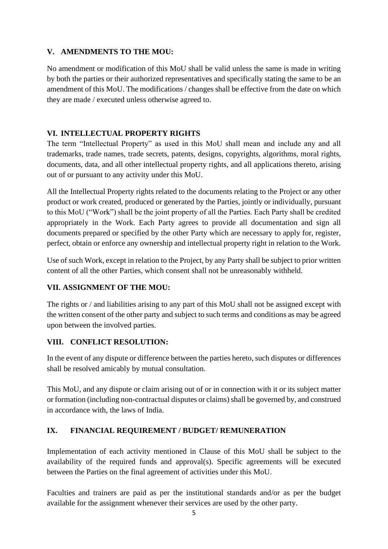## **V. AMENDMENTS TO THE MOU:**

No amendment or modification of this MoU shall be valid unless the same is made in writing by both the parties or their authorized representatives and specifically stating the same to be an amendment of this MoU. The modifications / changes shall be effective from the date on which they are made / executed unless otherwise agreed to.

# **VI. INTELLECTUAL PROPERTY RIGHTS**

The term "Intellectual Property" as used in this MoU shall mean and include any and all trademarks, trade names, trade secrets, patents, designs, copyrights, algorithms, moral rights, documents, data, and all other intellectual property rights, and all applications thereto, arising out of or pursuant to any activity under this MoU.

All the Intellectual Property rights related to the documents relating to the Project or any other product or work created, produced or generated by the Parties, jointly or individually, pursuant to this MoU ("Work") shall be the joint property of all the Parties. Each Party shall be credited appropriately in the Work. Each Party agrees to provide all documentation and sign all documents prepared or specified by the other Party which are necessary to apply for, register, perfect, obtain or enforce any ownership and intellectual property right in relation to the Work.

Use of such Work, except in relation to the Project, by any Party shall be subject to prior written content of all the other Parties, which consent shall not be unreasonably withheld.

# **VII. ASSIGNMENT OF THE MOU:**

The rights or / and liabilities arising to any part of this MoU shall not be assigned except with the written consent of the other party and subject to such terms and conditions as may be agreed upon between the involved parties.

# **VIII. CONFLICT RESOLUTION:**

In the event of any dispute or difference between the parties hereto, such disputes or differences shall be resolved amicably by mutual consultation.

This MoU, and any dispute or claim arising out of or in connection with it or its subject matter or formation (including non-contractual disputes or claims) shall be governed by, and construed in accordance with, the laws of India.

# **IX. FINANCIAL REQUIREMENT / BUDGET/ REMUNERATION**

Implementation of each activity mentioned in Clause of this MoU shall be subject to the availability of the required funds and approval(s). Specific agreements will be executed between the Parties on the final agreement of activities under this MoU.

Faculties and trainers are paid as per the institutional standards and/or as per the budget available for the assignment whenever their services are used by the other party.